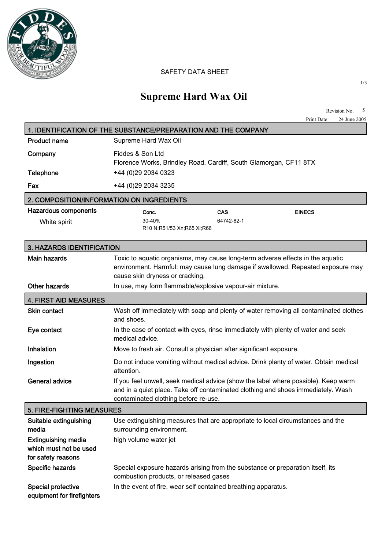

## SAFETY DATA SHEET

## **Supreme Hard Wax Oil**

|                                                                            | Revision No.<br>5<br>Print Date<br>24 June 2005                                                                                                                                                                |
|----------------------------------------------------------------------------|----------------------------------------------------------------------------------------------------------------------------------------------------------------------------------------------------------------|
|                                                                            | 1. IDENTIFICATION OF THE SUBSTANCE/PREPARATION AND THE COMPANY                                                                                                                                                 |
| <b>Product name</b>                                                        | Supreme Hard Wax Oil                                                                                                                                                                                           |
| Company                                                                    | Fiddes & Son Ltd<br>Florence Works, Brindley Road, Cardiff, South Glamorgan, CF11 8TX                                                                                                                          |
| Telephone                                                                  | +44 (0)29 2034 0323                                                                                                                                                                                            |
| Fax                                                                        | +44 (0)29 2034 3235                                                                                                                                                                                            |
| 2. COMPOSITION/INFORMATION ON INGREDIENTS                                  |                                                                                                                                                                                                                |
| <b>Hazardous components</b><br>White spirit                                | <b>CAS</b><br><b>EINECS</b><br>Conc.<br>30-40%<br>64742-82-1<br>R10 N;R51/53 Xn;R65 Xi;R66                                                                                                                     |
| 3. HAZARDS IDENTIFICATION                                                  |                                                                                                                                                                                                                |
| <b>Main hazards</b>                                                        | Toxic to aquatic organisms, may cause long-term adverse effects in the aquatic<br>environment. Harmful: may cause lung damage if swallowed. Repeated exposure may<br>cause skin dryness or cracking.           |
| <b>Other hazards</b>                                                       | In use, may form flammable/explosive vapour-air mixture.                                                                                                                                                       |
| <b>4. FIRST AID MEASURES</b>                                               |                                                                                                                                                                                                                |
| <b>Skin contact</b>                                                        | Wash off immediately with soap and plenty of water removing all contaminated clothes<br>and shoes.                                                                                                             |
| Eye contact                                                                | In the case of contact with eyes, rinse immediately with plenty of water and seek<br>medical advice.                                                                                                           |
| Inhalation                                                                 | Move to fresh air. Consult a physician after significant exposure.                                                                                                                                             |
| Ingestion                                                                  | Do not induce vomiting without medical advice. Drink plenty of water. Obtain medical<br>attention.                                                                                                             |
| General advice                                                             | If you feel unwell, seek medical advice (show the label where possible). Keep warm<br>and in a quiet place. Take off contaminated clothing and shoes immediately. Wash<br>contaminated clothing before re-use. |
| 5. FIRE-FIGHTING MEASURES                                                  |                                                                                                                                                                                                                |
| Suitable extinguishing<br>media                                            | Use extinguishing measures that are appropriate to local circumstances and the<br>surrounding environment.                                                                                                     |
| <b>Extinguishing media</b><br>which must not be used<br>for safety reasons | high volume water jet                                                                                                                                                                                          |
| Specific hazards                                                           | Special exposure hazards arising from the substance or preparation itself, its<br>combustion products, or released gases                                                                                       |
| Special protective<br>equipment for firefighters                           | In the event of fire, wear self contained breathing apparatus.                                                                                                                                                 |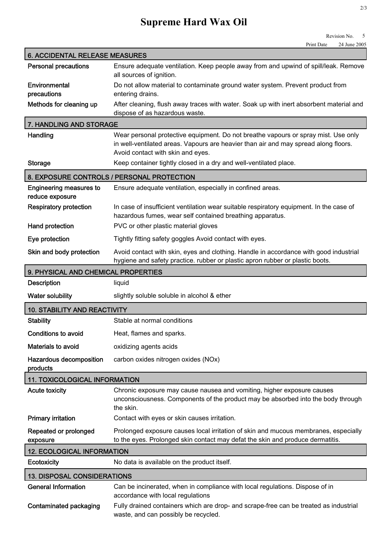## **Supreme Hard Wax Oil**

| <b>6. ACCIDENTAL RELEASE MEASURES</b>             |                                                                                                                                                                                                                |
|---------------------------------------------------|----------------------------------------------------------------------------------------------------------------------------------------------------------------------------------------------------------------|
| <b>Personal precautions</b>                       | Ensure adequate ventilation. Keep people away from and upwind of spill/leak. Remove<br>all sources of ignition.                                                                                                |
| Environmental<br>precautions                      | Do not allow material to contaminate ground water system. Prevent product from<br>entering drains.                                                                                                             |
| Methods for cleaning up                           | After cleaning, flush away traces with water. Soak up with inert absorbent material and<br>dispose of as hazardous waste.                                                                                      |
| 7. HANDLING AND STORAGE                           |                                                                                                                                                                                                                |
| Handling                                          | Wear personal protective equipment. Do not breathe vapours or spray mist. Use only<br>in well-ventilated areas. Vapours are heavier than air and may spread along floors.<br>Avoid contact with skin and eyes. |
| <b>Storage</b>                                    | Keep container tightly closed in a dry and well-ventilated place.                                                                                                                                              |
|                                                   | 8. EXPOSURE CONTROLS / PERSONAL PROTECTION                                                                                                                                                                     |
| <b>Engineering measures to</b><br>reduce exposure | Ensure adequate ventilation, especially in confined areas.                                                                                                                                                     |
| <b>Respiratory protection</b>                     | In case of insufficient ventilation wear suitable respiratory equipment. In the case of<br>hazardous fumes, wear self contained breathing apparatus.                                                           |
| Hand protection                                   | PVC or other plastic material gloves                                                                                                                                                                           |
| Eye protection                                    | Tightly fitting safety goggles Avoid contact with eyes.                                                                                                                                                        |
| Skin and body protection                          | Avoid contact with skin, eyes and clothing. Handle in accordance with good industrial<br>hygiene and safety practice. rubber or plastic apron rubber or plastic boots.                                         |
| 9. PHYSICAL AND CHEMICAL PROPERTIES               |                                                                                                                                                                                                                |
| <b>Description</b>                                | liquid                                                                                                                                                                                                         |
| Water solubility                                  | slightly soluble soluble in alcohol & ether                                                                                                                                                                    |
| <b>10. STABILITY AND REACTIVITY</b>               |                                                                                                                                                                                                                |
| <b>Stability</b>                                  | Stable at normal conditions                                                                                                                                                                                    |
|                                                   |                                                                                                                                                                                                                |
| <b>Conditions to avoid</b>                        | Heat, flames and sparks.                                                                                                                                                                                       |
| Materials to avoid                                | oxidizing agents acids                                                                                                                                                                                         |
| Hazardous decomposition<br>products               | carbon oxides nitrogen oxides (NOx)                                                                                                                                                                            |
| <b>11. TOXICOLOGICAL INFORMATION</b>              |                                                                                                                                                                                                                |
| <b>Acute toxicity</b>                             | Chronic exposure may cause nausea and vomiting, higher exposure causes<br>unconsciousness. Components of the product may be absorbed into the body through<br>the skin.                                        |
| <b>Primary irritation</b>                         | Contact with eyes or skin causes irritation.                                                                                                                                                                   |
| Repeated or prolonged<br>exposure                 | Prolonged exposure causes local irritation of skin and mucous membranes, especially<br>to the eyes. Prolonged skin contact may defat the skin and produce dermatitis.                                          |
| <b>12. ECOLOGICAL INFORMATION</b>                 |                                                                                                                                                                                                                |
| Ecotoxicity                                       | No data is available on the product itself.                                                                                                                                                                    |
| <b>13. DISPOSAL CONSIDERATIONS</b>                |                                                                                                                                                                                                                |
| <b>General Information</b>                        | Can be incinerated, when in compliance with local regulations. Dispose of in<br>accordance with local regulations                                                                                              |